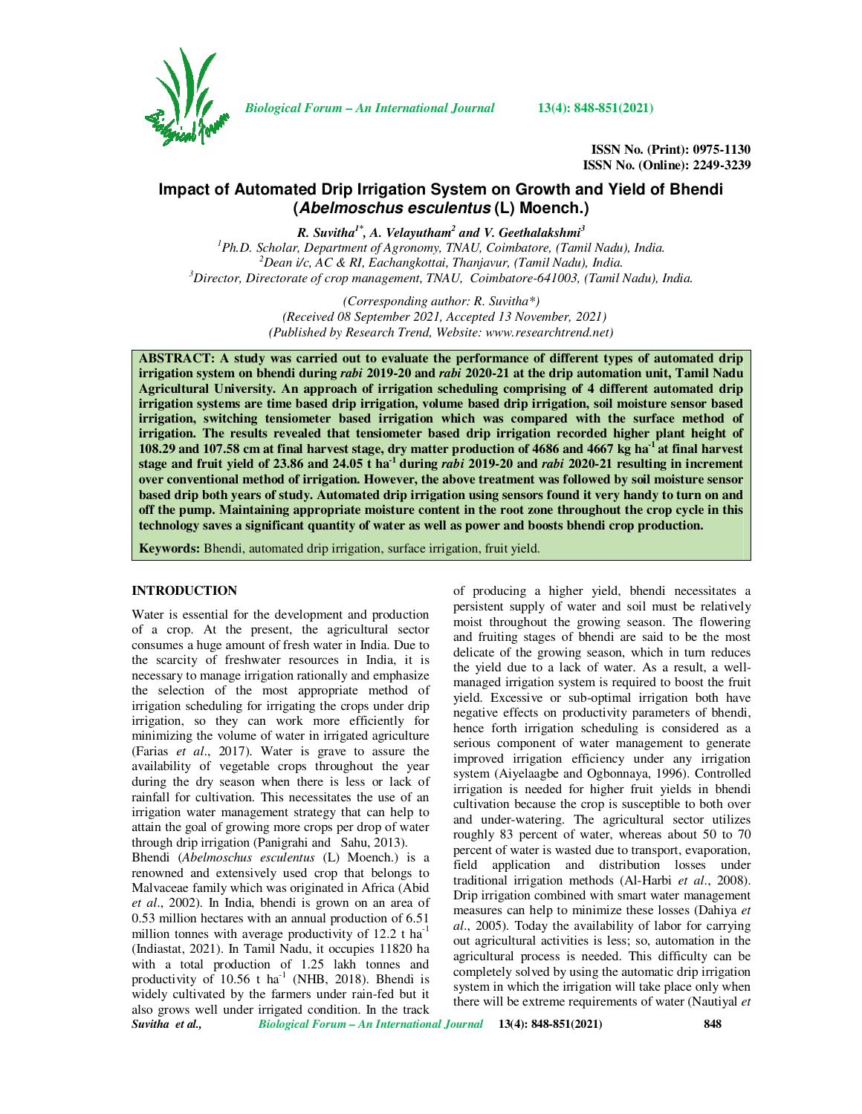

*Biological Forum – An International Journal* **13(4): 848-851(2021)**

**ISSN No. (Print): 0975-1130 ISSN No. (Online): 2249-3239** 

# **Impact of Automated Drip Irrigation System on Growth and Yield of Bhendi (Abelmoschus esculentus (L) Moench.)**

*R. Suvitha1\*, A. Velayutham<sup>2</sup> and V. Geethalakshmi<sup>3</sup> Ph.D. Scholar, Department of Agronomy, TNAU, Coimbatore, (Tamil Nadu), India. Dean i/c, AC & RI, Eachangkottai, Thanjavur, (Tamil Nadu), India. Director, Directorate of crop management, TNAU, Coimbatore-641003, (Tamil Nadu), India.* 

> *(Corresponding author: R. Suvitha\*) (Received 08 September 2021, Accepted 13 November, 2021) (Published by Research Trend, Website: www.researchtrend.net)*

**ABSTRACT: A study was carried out to evaluate the performance of different types of automated drip irrigation system on bhendi during** *rabi* **2019-20 and** *rabi* **2020-21 at the drip automation unit, Tamil Nadu Agricultural University. An approach of irrigation scheduling comprising of 4 different automated drip irrigation systems are time based drip irrigation, volume based drip irrigation, soil moisture sensor based irrigation, switching tensiometer based irrigation which was compared with the surface method of irrigation. The results revealed that tensiometer based drip irrigation recorded higher plant height of 108.29 and 107.58 cm at final harvest stage, dry matter production of 4686 and 4667 kg ha-1 at final harvest stage and fruit yield of 23.86 and 24.05 t ha-1 during** *rabi* **2019-20 and** *rabi* **2020-21 resulting in increment over conventional method of irrigation. However, the above treatment was followed by soil moisture sensor based drip both years of study. Automated drip irrigation using sensors found it very handy to turn on and off the pump. Maintaining appropriate moisture content in the root zone throughout the crop cycle in this technology saves a significant quantity of water as well as power and boosts bhendi crop production.** 

**Keywords:** Bhendi, automated drip irrigation, surface irrigation, fruit yield.

#### **INTRODUCTION**

Water is essential for the development and production of a crop. At the present, the agricultural sector consumes a huge amount of fresh water in India. Due to the scarcity of freshwater resources in India, it is necessary to manage irrigation rationally and emphasize the selection of the most appropriate method of irrigation scheduling for irrigating the crops under drip irrigation, so they can work more efficiently for minimizing the volume of water in irrigated agriculture (Farias *et al*., 2017). Water is grave to assure the availability of vegetable crops throughout the year during the dry season when there is less or lack of rainfall for cultivation. This necessitates the use of an irrigation water management strategy that can help to attain the goal of growing more crops per drop of water through drip irrigation (Panigrahi and Sahu, 2013).

*Suvitha et al., Biological Forum – An International Journal* **13(4): 848-851(2021) 848**  Bhendi (*Abelmoschus esculentus* (L) Moench.) is a renowned and extensively used crop that belongs to Malvaceae family which was originated in Africa (Abid *et al*., 2002). In India, bhendi is grown on an area of 0.53 million hectares with an annual production of 6.51 million tonnes with average productivity of  $12.2$  t ha<sup>-1</sup> (Indiastat, 2021). In Tamil Nadu, it occupies 11820 ha with a total production of 1.25 lakh tonnes and productivity of  $10.56$  t ha<sup>-1</sup> (NHB, 2018). Bhendi is widely cultivated by the farmers under rain-fed but it also grows well under irrigated condition. In the track

of producing a higher yield, bhendi necessitates a persistent supply of water and soil must be relatively moist throughout the growing season. The flowering and fruiting stages of bhendi are said to be the most delicate of the growing season, which in turn reduces the yield due to a lack of water. As a result, a wellmanaged irrigation system is required to boost the fruit yield. Excessive or sub-optimal irrigation both have negative effects on productivity parameters of bhendi, hence forth irrigation scheduling is considered as a serious component of water management to generate improved irrigation efficiency under any irrigation system (Aiyelaagbe and Ogbonnaya, 1996). Controlled irrigation is needed for higher fruit yields in bhendi cultivation because the crop is susceptible to both over and under-watering. The agricultural sector utilizes roughly 83 percent of water, whereas about 50 to 70 percent of water is wasted due to transport, evaporation, field application and distribution losses under traditional irrigation methods (Al-Harbi *et al*., 2008). Drip irrigation combined with smart water management measures can help to minimize these losses (Dahiya *et al*., 2005). Today the availability of labor for carrying out agricultural activities is less; so, automation in the agricultural process is needed. This difficulty can be completely solved by using the automatic drip irrigation system in which the irrigation will take place only when there will be extreme requirements of water (Nautiyal *et*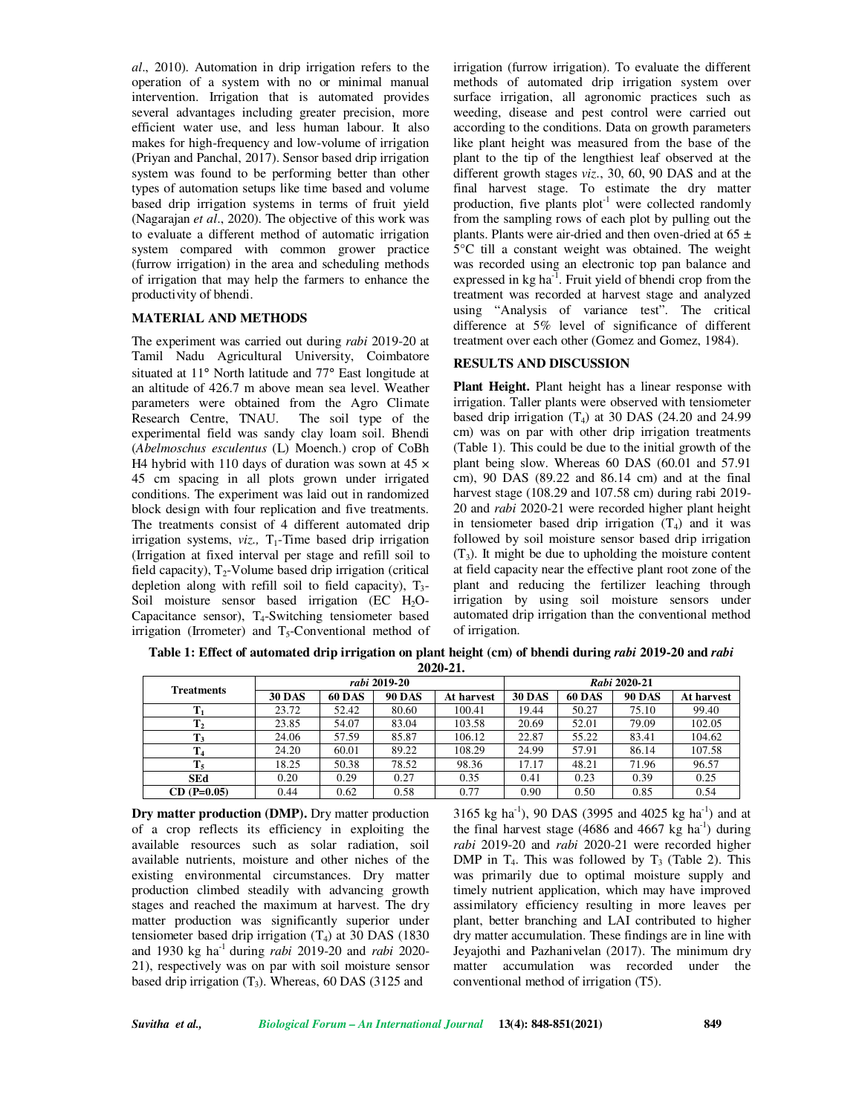*al*., 2010). Automation in drip irrigation refers to the operation of a system with no or minimal manual intervention. Irrigation that is automated provides several advantages including greater precision, more efficient water use, and less human labour. It also makes for high-frequency and low-volume of irrigation (Priyan and Panchal, 2017). Sensor based drip irrigation system was found to be performing better than other types of automation setups like time based and volume based drip irrigation systems in terms of fruit yield (Nagarajan *et al*., 2020). The objective of this work was to evaluate a different method of automatic irrigation system compared with common grower practice (furrow irrigation) in the area and scheduling methods of irrigation that may help the farmers to enhance the productivity of bhendi.

#### **MATERIAL AND METHODS**

The experiment was carried out during *rabi* 2019-20 at Tamil Nadu Agricultural University, Coimbatore situated at 11° North latitude and 77° East longitude at an altitude of 426.7 m above mean sea level. Weather parameters were obtained from the Agro Climate Research Centre, TNAU. The soil type of the experimental field was sandy clay loam soil. Bhendi (*Abelmoschus esculentus* (L) Moench.) crop of CoBh H4 hybrid with 110 days of duration was sown at  $45 \times$ 45 cm spacing in all plots grown under irrigated conditions. The experiment was laid out in randomized block design with four replication and five treatments. The treatments consist of 4 different automated drip irrigation systems,  $viz.$ ,  $T_1$ -Time based drip irrigation (Irrigation at fixed interval per stage and refill soil to field capacity),  $T_2$ -Volume based drip irrigation (critical depletion along with refill soil to field capacity),  $T_3$ -Soil moisture sensor based irrigation (EC  $H_2O$ -Capacitance sensor),  $T_4$ -Switching tensiometer based irrigation (Irrometer) and  $T<sub>5</sub>$ -Conventional method of

irrigation (furrow irrigation). To evaluate the different methods of automated drip irrigation system over surface irrigation, all agronomic practices such as weeding, disease and pest control were carried out according to the conditions. Data on growth parameters like plant height was measured from the base of the plant to the tip of the lengthiest leaf observed at the different growth stages *viz*., 30, 60, 90 DAS and at the final harvest stage. To estimate the dry matter production, five plants  $plot^{-1}$  were collected randomly from the sampling rows of each plot by pulling out the plants. Plants were air-dried and then oven-dried at  $65 \pm$ 5°C till a constant weight was obtained. The weight was recorded using an electronic top pan balance and expressed in  $kg \text{ ha}^{-1}$ . Fruit yield of bhendi crop from the treatment was recorded at harvest stage and analyzed using "Analysis of variance test". The critical difference at 5% level of significance of different treatment over each other (Gomez and Gomez, 1984).

### **RESULTS AND DISCUSSION**

**Plant Height.** Plant height has a linear response with irrigation. Taller plants were observed with tensiometer based drip irrigation  $(T_4)$  at 30 DAS (24.20 and 24.99) cm) was on par with other drip irrigation treatments (Table 1). This could be due to the initial growth of the plant being slow. Whereas 60 DAS (60.01 and 57.91 cm), 90 DAS (89.22 and 86.14 cm) and at the final harvest stage (108.29 and 107.58 cm) during rabi 2019- 20 and *rabi* 2020-21 were recorded higher plant height in tensiometer based drip irrigation  $(T_4)$  and it was followed by soil moisture sensor based drip irrigation  $(T_3)$ . It might be due to upholding the moisture content at field capacity near the effective plant root zone of the plant and reducing the fertilizer leaching through irrigation by using soil moisture sensors under automated drip irrigation than the conventional method of irrigation.

**Table 1: Effect of automated drip irrigation on plant height (cm) of bhendi during** *rabi* **2019-20 and** *rabi*  **2020-21.**

| <b>Treatments</b> | rabi 2019-20  |               |               |            | Rabi 2020-21  |               |               |            |
|-------------------|---------------|---------------|---------------|------------|---------------|---------------|---------------|------------|
|                   | <b>30 DAS</b> | <b>60 DAS</b> | <b>90 DAS</b> | At harvest | <b>30 DAS</b> | <b>60 DAS</b> | <b>90 DAS</b> | At harvest |
|                   | 23.72         | 52.42         | 80.60         | 100.41     | 19.44         | 50.27         | 75.10         | 99.40      |
| $\mathbf{T}_2$    | 23.85         | 54.07         | 83.04         | 103.58     | 20.69         | 52.01         | 79.09         | 102.05     |
| $\mathbf{T}_3$    | 24.06         | 57.59         | 85.87         | 106.12     | 22.87         | 55.22         | 83.41         | 104.62     |
| T <sub>4</sub>    | 24.20         | 60.01         | 89.22         | 108.29     | 24.99         | 57.91         | 86.14         | 107.58     |
| $T_5$             | 18.25         | 50.38         | 78.52         | 98.36      | 17.17         | 48.21         | 71.96         | 96.57      |
| <b>SEd</b>        | 0.20          | 0.29          | 0.27          | 0.35       | 0.41          | 0.23          | 0.39          | 0.25       |
| $CD (P=0.05)$     | 0.44          | 0.62          | 0.58          | 0.77       | 0.90          | 0.50          | 0.85          | 0.54       |

**Dry matter production (DMP).** Dry matter production of a crop reflects its efficiency in exploiting the available resources such as solar radiation, soil available nutrients, moisture and other niches of the existing environmental circumstances. Dry matter production climbed steadily with advancing growth stages and reached the maximum at harvest. The dry matter production was significantly superior under tensiometer based drip irrigation  $(T_4)$  at 30 DAS (1830) and 1930 kg ha-1 during *rabi* 2019-20 and *rabi* 2020- 21), respectively was on par with soil moisture sensor based drip irrigation  $(T_3)$ . Whereas, 60 DAS (3125 and

3165 kg ha<sup>-1</sup>), 90 DAS (3995 and 4025 kg ha<sup>-1</sup>) and at the final harvest stage (4686 and 4667 kg ha<sup>-1</sup>) during *rabi* 2019-20 and *rabi* 2020-21 were recorded higher DMP in  $T_4$ . This was followed by  $T_3$  (Table 2). This was primarily due to optimal moisture supply and timely nutrient application, which may have improved assimilatory efficiency resulting in more leaves per plant, better branching and LAI contributed to higher dry matter accumulation. These findings are in line with Jeyajothi and Pazhanivelan (2017). The minimum dry matter accumulation was recorded under the conventional method of irrigation (T5).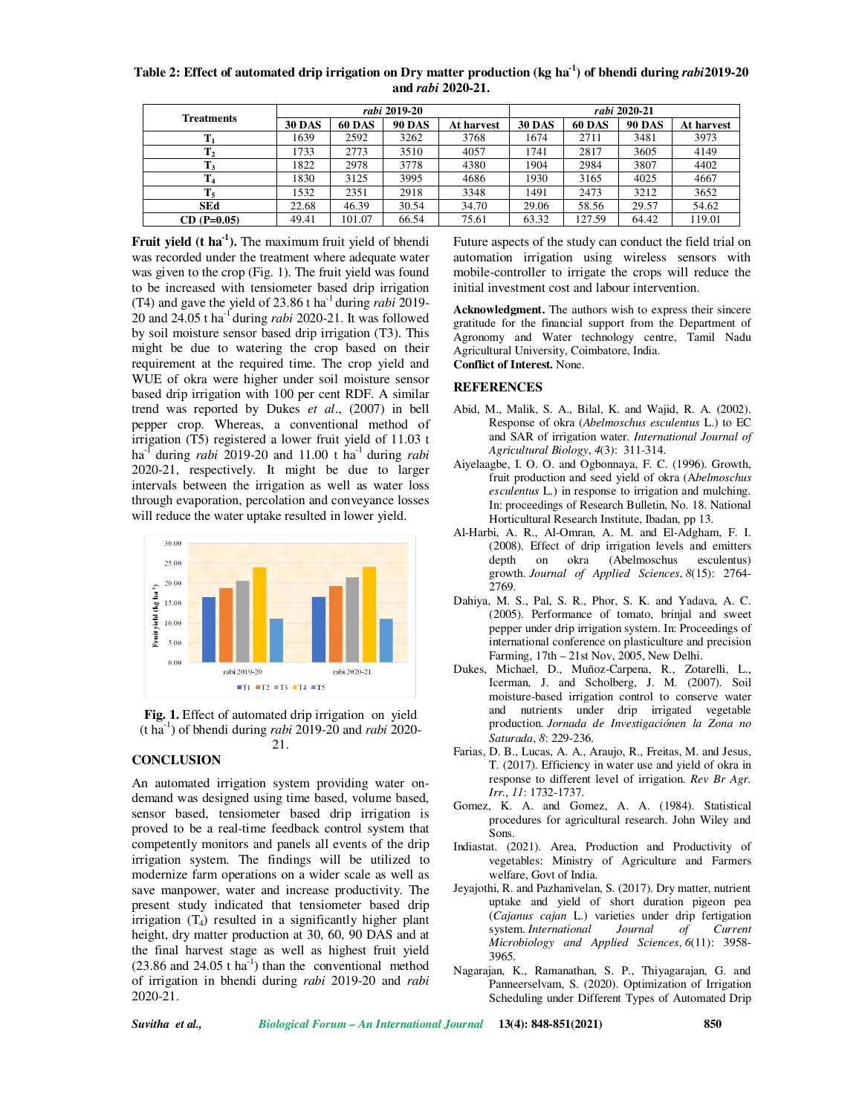| Table 2: Effect of automated drip irrigation on Dry matter production (kg ha <sup>-1</sup> ) of bhendi during <i>rabi</i> 2019-20 |
|-----------------------------------------------------------------------------------------------------------------------------------|
| and <i>rabi</i> 2020-21.                                                                                                          |

|                   | rabi 2019-20  |               |               |            | rabi 2020-21  |               |               |            |
|-------------------|---------------|---------------|---------------|------------|---------------|---------------|---------------|------------|
| <b>Treatments</b> | <b>30 DAS</b> | <b>60 DAS</b> | <b>90 DAS</b> | At harvest | <b>30 DAS</b> | <b>60 DAS</b> | <b>90 DAS</b> | At harvest |
|                   | 1639          | 2592          | 3262          | 3768       | 1674          | 2711          | 3481          | 3973       |
| $\mathbf{T}_2$    | 1733          | 2773          | 3510          | 4057       | 1741          | 2817          | 3605          | 4149       |
| $T_3$             | 1822          | 2978          | 3778          | 4380       | 1904          | 2984          | 3807          | 4402       |
| T <sub>4</sub>    | 1830          | 3125          | 3995          | 4686       | 1930          | 3165          | 4025          | 4667       |
| $T_5$             | 1532          | 2351          | 2918          | 3348       | 1491          | 2473          | 3212          | 3652       |
| <b>SEd</b>        | 22.68         | 46.39         | 30.54         | 34.70      | 29.06         | 58.56         | 29.57         | 54.62      |
| $CD (P=0.05)$     | 49.41         | 101.07        | 66.54         | 75.61      | 63.32         | 127.59        | 64.42         | 119.01     |

**Fruit yield (t ha-1).** The maximum fruit yield of bhendi was recorded under the treatment where adequate water was given to the crop (Fig. 1). The fruit yield was found to be increased with tensiometer based drip irrigation (T4) and gave the yield of 23.86 t ha-1 during *rabi* 2019- 20 and 24.05 t ha-1 during *rabi* 2020-21. It was followed by soil moisture sensor based drip irrigation (T3). This might be due to watering the crop based on their requirement at the required time. The crop yield and WUE of okra were higher under soil moisture sensor based drip irrigation with 100 per cent RDF. A similar trend was reported by Dukes *et al*., (2007) in bell pepper crop. Whereas, a conventional method of irrigation (T5) registered a lower fruit yield of 11.03 t ha-1 during *rabi* 2019-20 and 11.00 t ha-1 during *rabi*  2020-21, respectively. It might be due to larger intervals between the irrigation as well as water loss through evaporation, percolation and conveyance losses will reduce the water uptake resulted in lower yield.



**Fig. 1.** Effect of automated drip irrigation on yield (t ha-1) of bhendi during *rabi* 2019-20 and *rabi* 2020- 21.

## **CONCLUSION**

An automated irrigation system providing water ondemand was designed using time based, volume based, sensor based, tensiometer based drip irrigation is proved to be a real-time feedback control system that competently monitors and panels all events of the drip irrigation system. The findings will be utilized to modernize farm operations on a wider scale as well as save manpower, water and increase productivity. The present study indicated that tensiometer based drip irrigation  $(T_4)$  resulted in a significantly higher plant height, dry matter production at 30, 60, 90 DAS and at the final harvest stage as well as highest fruit yield  $(23.86 \text{ and } 24.05 \text{ t} \text{ ha}^{-1})$  than the conventional method of irrigation in bhendi during *rabi* 2019-20 and *rabi*  2020-21.

Future aspects of the study can conduct the field trial on automation irrigation using wireless sensors with mobile-controller to irrigate the crops will reduce the initial investment cost and labour intervention.

**Acknowledgment.** The authors wish to express their sincere gratitude for the financial support from the Department of Agronomy and Water technology centre, Tamil Nadu Agricultural University, Coimbatore, India. **Conflict of Interest.** None.

#### **REFERENCES**

- Abid, M., Malik, S. A., Bilal, K. and Wajid, R. A. (2002). Response of okra (*Abelmoschus esculentus* L.) to EC and SAR of irrigation water. *International Journal of Agricultural Biology*, *4*(3): 311-314.
- Aiyelaagbe, I. O. O. and Ogbonnaya, F. C. (1996). Growth, fruit production and seed yield of okra (A*belmoschus esculentus* L.) in response to irrigation and mulching. In: proceedings of Research Bulletin, No. 18. National Horticultural Research Institute, Ibadan, pp 13.
- Al-Harbi, A. R., Al-Omran, A. M. and El-Adgham, F. I. (2008). Effect of drip irrigation levels and emitters depth on okra (Abelmoschus esculentus) growth. *Journal of Applied Sciences*, *8*(15): 2764- 2769.
- Dahiya, M. S., Pal, S. R., Phor, S. K. and Yadava, A. C. (2005). Performance of tomato, brinjal and sweet pepper under drip irrigation system. In: Proceedings of international conference on plasticulture and precision Farming, 17th – 21st Nov, 2005, New Delhi.
- Dukes, Michael, D., Muñoz-Carpena, R., Zotarelli, L., Icerman, J. and Scholberg, J. M. (2007). Soil moisture-based irrigation control to conserve water and nutrients under drip irrigated vegetable production. *Jornada de Investigaciónen la Zona no Saturada*, *8*: 229-236.
- Farias, D. B., Lucas, A. A., Araujo, R., Freitas, M. and Jesus, T. (2017). Efficiency in water use and yield of okra in response to different level of irrigation. *Rev Br Agr. Irr.*, *11*: 1732-1737.
- Gomez, K. A. and Gomez, A. A. (1984). Statistical procedures for agricultural research. John Wiley and Sons.
- Indiastat. (2021). Area, Production and Productivity of vegetables: Ministry of Agriculture and Farmers welfare, Govt of India.
- Jeyajothi, R. and Pazhanivelan, S. (2017). Dry matter, nutrient uptake and yield of short duration pigeon pea (*Cajanus cajan* L.) varieties under drip fertigation system. *International Journal of Current Microbiology and Applied Sciences*, *6*(11): 3958- 3965.
- Nagarajan, K., Ramanathan, S. P., Thiyagarajan, G. and Panneerselvam, S. (2020). Optimization of Irrigation Scheduling under Different Types of Automated Drip